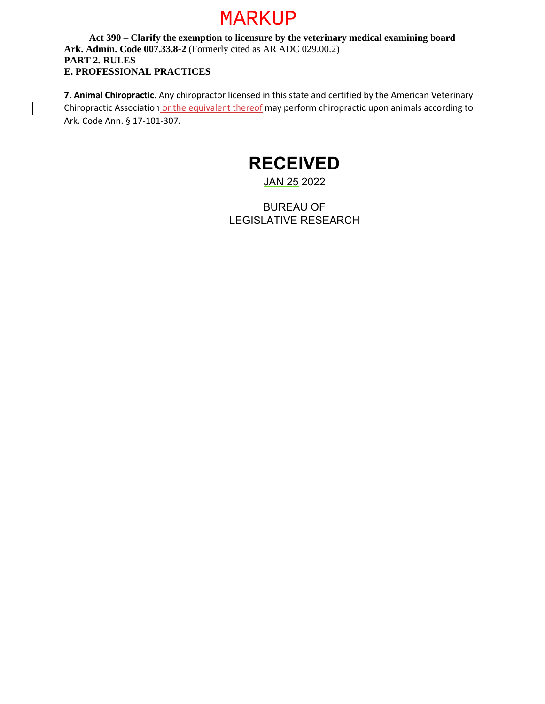## MARKUP

**Act 390 – Clarify the exemption to licensure by the veterinary medical examining board Ark. Admin. Code 007.33.8-2** (Formerly cited as AR ADC 029.00.2) **PART 2. RULES E. PROFESSIONAL PRACTICES**

**7. Animal Chiropractic.** Any chiropractor licensed in this state and certified by the American Veterinary Chiropractic Association or the equivalent thereof may perform chiropractic upon animals according to Ark. Code Ann. § 17-101-307.

## **RECEIVED**

## JAN 25 2022

BUREAU OF LEGISLATIVE RESEARCH